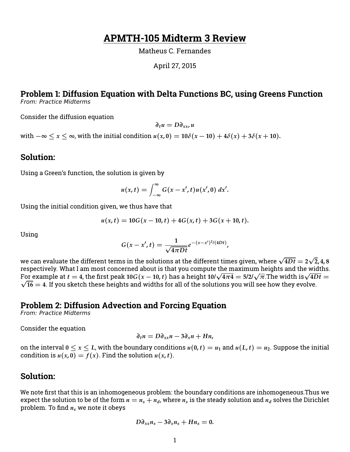## **APMTH-105 Midterm 3 Review**

Matheus C. Fernandes

April 27, 2015

# **Problem 1: Diffusion Equation with Delta Functions BC, using Greens Function**

From: Practice Midterms

Consider the diffusion equation

*∂tu* = *D∂xx***,** *u*

*with*  $-\infty < x < \infty$ , with the initial condition  $u(x, 0) = 10\delta(x - 10) + 4\delta(x) + 3\delta(x + 10)$ .

#### **Solution:**

Using a Green's function, the solution is given by

$$
u(x,t)=\int_{-\infty}^{\infty}G(x-x',t)u(x',0) dx'.
$$

Using the initial condition given, we thus have that

$$
u(x,t) = 10G(x-10,t) + 4G(x,t) + 3G(x+10,t).
$$

Using

$$
G(x-x',t)=\frac{1}{\sqrt{4\pi Dt}}e^{-(x-x')^2/(4Dt)},
$$

we can evaluate the different terms in the solutions at the different times given, where  $\sqrt{4Dt} = 2$ √ **2, 4, 8** respectively. What I am most concerned about is that you compute the maximum heights and the widths.  $\frac{1}{2}$  for example at  $t = 4$ , the first peak 10*G*(*x* − 10,*t*) has a height 10/ $\sqrt{4\pi 4} = 5/2/\sqrt{\pi}$ . The width is  $\sqrt{4Dt} = 5/2$  $\sqrt{16} = 4$ . If you sketch these heights and widths for all of the solutions you will see how they evolve.

## **Problem 2: Diffusion Advection and Forcing Equation**

From: Practice Midterms

Consider the equation

$$
\partial_t n = D \partial_{xx} n - 3 \partial_x n + H n,
$$

on the interval  $0 \le x \le L$ , with the boundary conditions  $u(0,t) = u_1$  and  $u(L,t) = u_2$ . Suppose the initial condition is  $u(x, 0) = f(x)$ . Find the solution  $u(x, t)$ .

## **Solution:**

We note first that this is an inhomogeneous problem: the boundary conditions are inhomogeneous.Thus we expect the solution to be of the form  $n = n_s + n_d$ , where  $n_s$  is the steady solution and  $n_d$  solves the Dirichlet problem. To find *n<sup>s</sup>* we note it obeys

$$
D\partial_{xx}n_s-3\partial_{x}n_s+Hn_s=0.
$$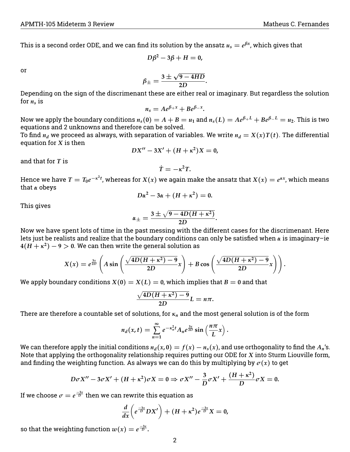This is a second order ODE, and we can find its solution by the ansatz  $u_s = e^{\beta x}$ , which gives that

$$
D\beta^2-3\beta+H=0,
$$

or

$$
\beta_{\pm}=\frac{3\pm\sqrt{9-4HD}}{2D}.
$$

Depending on the sign of the discrimenant these are either real or imaginary. But regardless the solution for  $n_s$  is

$$
n_s=Ae^{\beta+x}+Be^{\beta-x}.
$$

Now we apply the boundary conditions  $n_s(0) = A + B = u_1$  and  $n_s(L) = Ae^{\beta + L} + Be^{\beta - L} = u_2$ . This is two equations and 2 unknowns and therefore can be solved.

To find  $n_d$  we proceed as always, with separation of variables. We write  $n_d = X(x)T(t)$ . The differential equation for *X* is then

$$
DX'' - 3X' + (H + \kappa^2)X = 0,
$$

and that for *T* is

$$
\dot{T}=-\kappa^2 T.
$$

Hence we have  $T=T_0e^{-\kappa^2 t}$ , whereas for  $X(x)$  we again make the ansatz that  $X(x)=e^{\alpha x}$ , which means that *α* obeys

$$
D\alpha^2-3\alpha+(H+\kappa^2)=0.
$$

This gives

$$
\alpha_{\pm}=\frac{3\pm\sqrt{9-4D(H+\kappa^2)}}{2D}
$$

**.**

Now we have spent lots of time in the past messing with the different cases for the discrimenant. Here lets just be realists and realize that the boundary conditions can only be satisfied when *α* is imaginary–ie  $4(H+\kappa^2)-9>0.$  We can then write the general solution as

$$
X(x) = e^{\frac{3x}{2D}} \left( A \sin \left( \frac{\sqrt{4D(H + \kappa^2) - 9}}{2D} x \right) + B \cos \left( \frac{\sqrt{4D(H + \kappa^2) - 9}}{2D} x \right) \right).
$$

We apply boundary conditions  $X(0) = X(L) = 0$ , which implies that  $B = 0$  and that

$$
\frac{\sqrt{4D(H+\kappa^2)-9}}{2D}L=n\pi.
$$

There are therefore a countable set of solutions, for *κ<sup>n</sup>* and the most general solution is of the form

$$
n_d(x,t)=\sum_{n=1}^{\infty}e^{-\kappa_n^2t}A_ne^{\frac{3x}{2D}}\sin\left(\frac{n\pi}{L}x\right).
$$

We can therefore apply the initial conditions  $n_d(x, 0) = f(x) - n_s(x)$ , and use orthogonality to find the  $A_n$ 's. Note that applying the orthogonality relationship requires putting our ODE for *X* into Sturm Liouville form, and finding the weighting function. As always we can do this by multiplying by  $\sigma(x)$  to get

$$
D\sigma X'' - 3\sigma X' + (H + \kappa^2)\sigma X = 0 \Rightarrow \sigma X'' - \frac{3}{D}\sigma X' + \frac{(H + \kappa^2)}{D}\sigma X = 0.
$$

If we choose  $\sigma = e^{\frac{-3x}{D}}$  then we can rewrite this equation as

$$
\frac{d}{dx}\left(e^{\frac{-3x}{D}}DX'\right) + (H+\kappa^2)e^{\frac{-3x}{D}}X = 0,
$$

so that the weighting function  $w(x) = e^{\frac{-3x}{D}}.$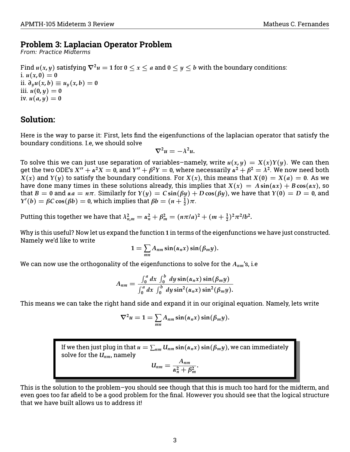## **Problem 3: Laplacian Operator Problem**

From: Practice Midterms

Find  $u(x, y)$  satisfying  $\nabla^2 u = 1$  for  $0 \le x \le a$  and  $0 \le y \le b$  with the boundary conditions: i.  $u(x, 0) = 0$ ii. *∂yu*(*x***,** *b*) ≡ *uy*(*x***,** *b*) = **0** iii.  $u(0, y) = 0$ iv.  $u(a, y) = 0$ 

## **Solution:**

Here is the way to parse it: First, lets find the eigenfunctions of the laplacian operator that satisfy the boundary conditions. I.e, we should solve

$$
\nabla^2 u = -\lambda^2 u.
$$

To solve this we can just use separation of variables–namely, write  $u(x, y) = X(x)Y(y)$ . We can then get the two ODE's  $X'' + \alpha^2 X = 0$ , and  $Y'' + \beta^2 Y = 0$ , where necessarily  $\alpha^2 + \beta^2 = \lambda^2$ . We now need both *X*(*x*) and *Y*(*y*) to satisfy the boundary conditions. For *X*(*x*), this means that *X*(**0**) = *X*(*a*) = **0**. As we have done many times in these solutions already, this implies that  $X(x) = A \sin(\alpha x) + B \cos(\alpha x)$ , so that  $B = 0$  and  $\alpha a = n\pi$ . Similarly for  $Y(y) = C \sin(\beta y) + D \cos(\beta y)$ , we have that  $Y(0) = D = 0$ , and *Y*'(*b*) = *βC* **cos**(*βb*) = 0, which implies that  $βb = (n + \frac{1}{2})π$ .

Putting this together we have that  $\lambda_{n,m}^2 = \alpha_n^2 + \beta_m^2 = (n\pi/a)^2 + (m + \frac{1}{2})^2\pi^2/b^2$ .

Why is this useful? Now let us expand the function **1** in terms of the eigenfunctions we have just constructed. Namely we'd like to write

$$
1=\sum_{mn}A_{nm}\sin(\alpha_n x)\sin(\beta_m y).
$$

We can now use the orthogonality of the eigenfunctions to solve for the *Anm*'s, i.e

$$
A_{nm}=\frac{\int_0^a dx \int_0^b dy \sin(\alpha_n x) \sin(\beta_m y)}{\int_0^a dx \int_0^b dy \sin^2(\alpha_n x) \sin^2(\beta_m y)}.
$$

This means we can take the right hand side and expand it in our original equation. Namely, lets write

$$
\nabla^2 u = 1 = \sum_{mn} A_{nm} \sin(\alpha_n x) \sin(\beta_m y).
$$

If we then just plug in that  $u = \sum_{nm} U_{nm} \sin(\alpha_n x) \sin(\beta_m y)$ , we can immediately solve for the *Unm*, namely

$$
U_{nm}=\frac{A_{nm}}{\alpha_n^2+\beta_m^2}.
$$

This is the solution to the problem–you should see though that this is much too hard for the midterm, and even goes too far afield to be a good problem for the final. However you should see that the logical structure that we have built allows us to address it!